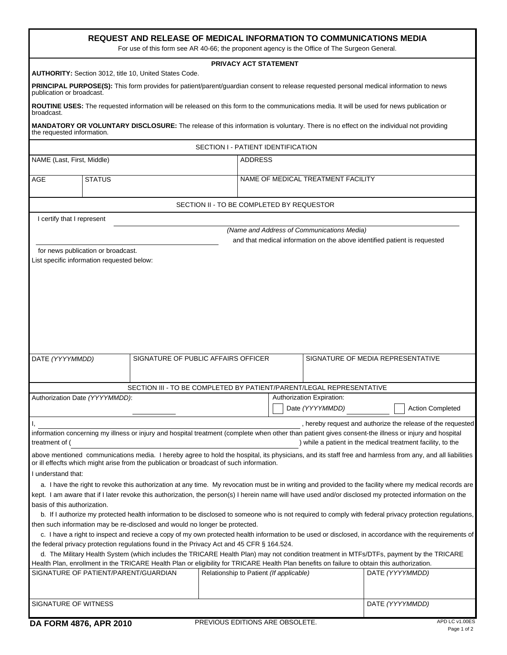| <b>REQUEST AND RELEASE OF MEDICAL INFORMATION TO COMMUNICATIONS MEDIA</b><br>For use of this form see AR 40-66; the proponent agency is the Office of The Surgeon General.                                                                           |                                                                                                                                                                                                                      |  |                                                                      |                |                                              |                                                                           |  |  |
|------------------------------------------------------------------------------------------------------------------------------------------------------------------------------------------------------------------------------------------------------|----------------------------------------------------------------------------------------------------------------------------------------------------------------------------------------------------------------------|--|----------------------------------------------------------------------|----------------|----------------------------------------------|---------------------------------------------------------------------------|--|--|
| <b>PRIVACY ACT STATEMENT</b>                                                                                                                                                                                                                         |                                                                                                                                                                                                                      |  |                                                                      |                |                                              |                                                                           |  |  |
| <b>AUTHORITY: Section 3012, title 10, United States Code.</b><br>PRINCIPAL PURPOSE(S): This form provides for patient/parent/guardian consent to release requested personal medical information to news                                              |                                                                                                                                                                                                                      |  |                                                                      |                |                                              |                                                                           |  |  |
| publication or broadcast.                                                                                                                                                                                                                            |                                                                                                                                                                                                                      |  |                                                                      |                |                                              |                                                                           |  |  |
| broadcast.                                                                                                                                                                                                                                           | ROUTINE USES: The requested information will be released on this form to the communications media. It will be used for news publication or                                                                           |  |                                                                      |                |                                              |                                                                           |  |  |
| MANDATORY OR VOLUNTARY DISCLOSURE: The release of this information is voluntary. There is no effect on the individual not providing<br>the requested information.                                                                                    |                                                                                                                                                                                                                      |  |                                                                      |                |                                              |                                                                           |  |  |
|                                                                                                                                                                                                                                                      | SECTION I - PATIENT IDENTIFICATION                                                                                                                                                                                   |  |                                                                      |                |                                              |                                                                           |  |  |
| NAME (Last, First, Middle)                                                                                                                                                                                                                           |                                                                                                                                                                                                                      |  |                                                                      | <b>ADDRESS</b> |                                              |                                                                           |  |  |
| AGE                                                                                                                                                                                                                                                  | <b>STATUS</b>                                                                                                                                                                                                        |  |                                                                      |                | NAME OF MEDICAL TREATMENT FACILITY           |                                                                           |  |  |
|                                                                                                                                                                                                                                                      |                                                                                                                                                                                                                      |  | SECTION II - TO BE COMPLETED BY REQUESTOR                            |                |                                              |                                                                           |  |  |
| I certify that I represent                                                                                                                                                                                                                           |                                                                                                                                                                                                                      |  |                                                                      |                |                                              |                                                                           |  |  |
|                                                                                                                                                                                                                                                      |                                                                                                                                                                                                                      |  |                                                                      |                | (Name and Address of Communications Media)   |                                                                           |  |  |
|                                                                                                                                                                                                                                                      |                                                                                                                                                                                                                      |  |                                                                      |                |                                              | and that medical information on the above identified patient is requested |  |  |
|                                                                                                                                                                                                                                                      | for news publication or broadcast.<br>List specific information requested below:                                                                                                                                     |  |                                                                      |                |                                              |                                                                           |  |  |
|                                                                                                                                                                                                                                                      |                                                                                                                                                                                                                      |  |                                                                      |                |                                              |                                                                           |  |  |
| DATE (YYYYMMDD)                                                                                                                                                                                                                                      |                                                                                                                                                                                                                      |  | SIGNATURE OF PUBLIC AFFAIRS OFFICER                                  |                |                                              | SIGNATURE OF MEDIA REPRESENTATIVE                                         |  |  |
|                                                                                                                                                                                                                                                      |                                                                                                                                                                                                                      |  | SECTION III - TO BE COMPLETED BY PATIENT/PARENT/LEGAL REPRESENTATIVE |                |                                              |                                                                           |  |  |
|                                                                                                                                                                                                                                                      | Authorization Date (YYYYMMDD):                                                                                                                                                                                       |  |                                                                      |                | Authorization Expiration:<br>Date (YYYYMMDD) | <b>Action Completed</b>                                                   |  |  |
|                                                                                                                                                                                                                                                      |                                                                                                                                                                                                                      |  |                                                                      |                |                                              | , hereby request and authorize the release of the requested               |  |  |
| treatment of (                                                                                                                                                                                                                                       | information concerning my illness or injury and hospital treatment (complete when other than patient gives consent-the illness or injury and hospital<br>) while a patient in the medical treatment facility, to the |  |                                                                      |                |                                              |                                                                           |  |  |
| above mentioned communications media. I hereby agree to hold the hospital, its physicians, and its staff free and harmless from any, and all liabilities<br>or ill effecfts which might arise from the publication or broadcast of such information. |                                                                                                                                                                                                                      |  |                                                                      |                |                                              |                                                                           |  |  |
| I understand that:                                                                                                                                                                                                                                   |                                                                                                                                                                                                                      |  |                                                                      |                |                                              |                                                                           |  |  |
|                                                                                                                                                                                                                                                      | a. I have the right to revoke this authorization at any time. My revocation must be in writing and provided to the facility where my medical records are                                                             |  |                                                                      |                |                                              |                                                                           |  |  |
|                                                                                                                                                                                                                                                      | kept. I am aware that if I later revoke this authorization, the person(s) I herein name will have used and/or disclosed my protected information on the<br>basis of this authorization.                              |  |                                                                      |                |                                              |                                                                           |  |  |
|                                                                                                                                                                                                                                                      | b. If I authorize my protected health information to be disclosed to someone who is not required to comply with federal privacy protection regulations,                                                              |  |                                                                      |                |                                              |                                                                           |  |  |
| then such information may be re-disclosed and would no longer be protected.                                                                                                                                                                          |                                                                                                                                                                                                                      |  |                                                                      |                |                                              |                                                                           |  |  |
| c. I have a right to inspect and recieve a copy of my own protected health information to be used or disclosed, in accordance with the requirements of                                                                                               |                                                                                                                                                                                                                      |  |                                                                      |                |                                              |                                                                           |  |  |
| the federal privacy protection regulations found in the Privacy Act and 45 CFR § 164.524.<br>d. The Military Health System (which includes the TRICARE Health Plan) may not condition treatment in MTFs/DTFs, payment by the TRICARE                 |                                                                                                                                                                                                                      |  |                                                                      |                |                                              |                                                                           |  |  |
| Health Plan, enrollment in the TRICARE Health Plan or eligibility for TRICARE Health Plan benefits on failure to obtain this authorization.                                                                                                          |                                                                                                                                                                                                                      |  |                                                                      |                |                                              |                                                                           |  |  |
|                                                                                                                                                                                                                                                      | SIGNATURE OF PATIENT/PARENT/GUARDIAN                                                                                                                                                                                 |  | Relationship to Patient (If applicable)                              |                |                                              | DATE (YYYYMMDD)                                                           |  |  |
| SIGNATURE OF WITNESS<br>DATE (YYYYMMDD)                                                                                                                                                                                                              |                                                                                                                                                                                                                      |  |                                                                      |                |                                              |                                                                           |  |  |